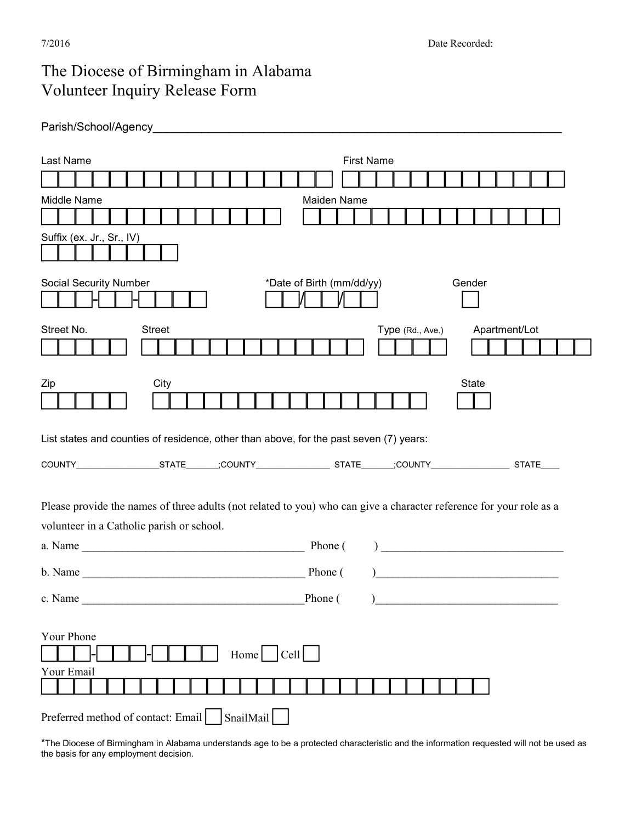## The Diocese of Birmingham in Alabama Volunteer Inquiry Release Form

| Parish/School/Agency |  |
|----------------------|--|
|                      |  |

| <b>First Name</b><br>Last Name                                                                                                                                   |  |  |  |  |
|------------------------------------------------------------------------------------------------------------------------------------------------------------------|--|--|--|--|
|                                                                                                                                                                  |  |  |  |  |
| Middle Name<br>Maiden Name                                                                                                                                       |  |  |  |  |
|                                                                                                                                                                  |  |  |  |  |
| Suffix (ex. Jr., Sr., IV)                                                                                                                                        |  |  |  |  |
| <b>Social Security Number</b><br>*Date of Birth (mm/dd/yy)<br>Gender                                                                                             |  |  |  |  |
| <b>Street</b><br>Apartment/Lot<br>Street No.<br>Type (Rd., Ave.)                                                                                                 |  |  |  |  |
| City<br>Zip<br><b>State</b>                                                                                                                                      |  |  |  |  |
| List states and counties of residence, other than above, for the past seven (7) years:                                                                           |  |  |  |  |
|                                                                                                                                                                  |  |  |  |  |
| Please provide the names of three adults (not related to you) who can give a character reference for your role as a<br>volunteer in a Catholic parish or school. |  |  |  |  |
| $\begin{tabular}{ c c c c } \hline \quad \quad & \quad \quad & \quad \quad & \quad \quad \\ \hline \end{tabular}$                                                |  |  |  |  |
|                                                                                                                                                                  |  |  |  |  |
| c. Name<br>Phone (                                                                                                                                               |  |  |  |  |
| Your Phone<br>Home $ $ $ $ Cell $ $<br>Your Email                                                                                                                |  |  |  |  |
| SnailMail<br>Preferred method of contact: Email                                                                                                                  |  |  |  |  |

\*The Diocese of Birmingham in Alabama understands age to be a protected characteristic and the information requested will not be used as the basis for any employment decision.